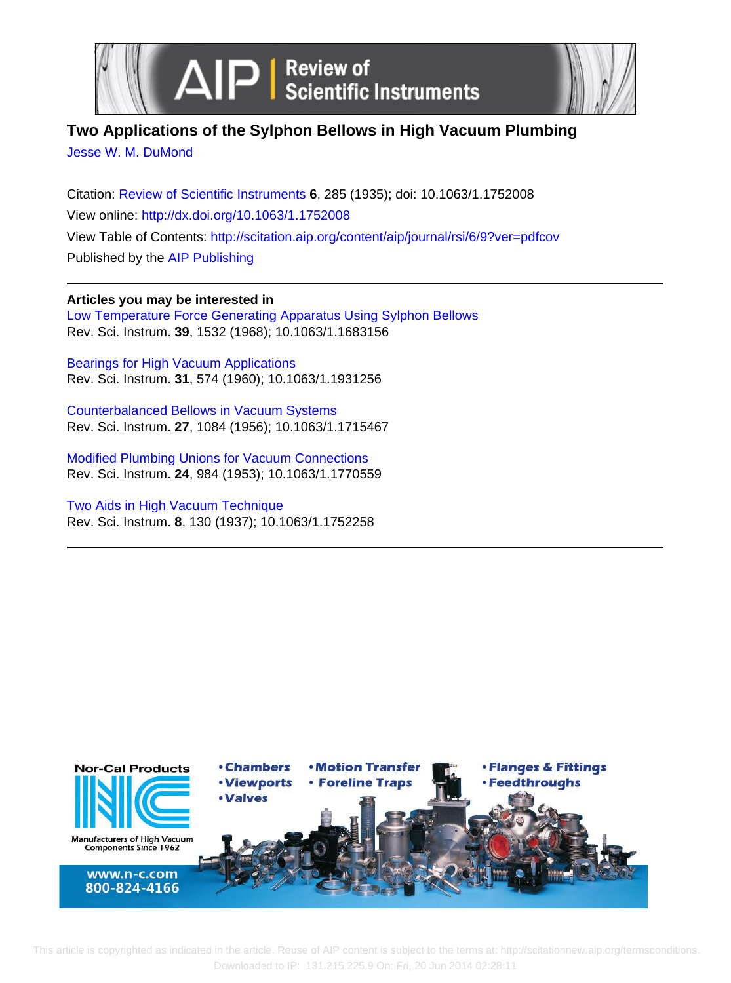

# **Two Applications of the Sylphon Bellows in High Vacuum Plumbing**

[Jesse W. M. DuMond](http://scitation.aip.org/search?value1=Jesse+W.+M.+DuMond&option1=author)

Citation: [Review of Scientific Instruments](http://scitation.aip.org/content/aip/journal/rsi?ver=pdfcov) **6**, 285 (1935); doi: 10.1063/1.1752008 View online:<http://dx.doi.org/10.1063/1.1752008> View Table of Contents: <http://scitation.aip.org/content/aip/journal/rsi/6/9?ver=pdfcov> Published by the [AIP Publishing](http://scitation.aip.org/content/aip?ver=pdfcov)

**Articles you may be interested in** [Low Temperature Force Generating Apparatus Using Sylphon Bellows](http://scitation.aip.org/content/aip/journal/rsi/39/10/10.1063/1.1683156?ver=pdfcov) Rev. Sci. Instrum. **39**, 1532 (1968); 10.1063/1.1683156

[Bearings for High Vacuum Applications](http://scitation.aip.org/content/aip/journal/rsi/31/5/10.1063/1.1931256?ver=pdfcov) Rev. Sci. Instrum. **31**, 574 (1960); 10.1063/1.1931256

[Counterbalanced Bellows in Vacuum Systems](http://scitation.aip.org/content/aip/journal/rsi/27/12/10.1063/1.1715467?ver=pdfcov) Rev. Sci. Instrum. **27**, 1084 (1956); 10.1063/1.1715467

[Modified Plumbing Unions for Vacuum Connections](http://scitation.aip.org/content/aip/journal/rsi/24/10/10.1063/1.1770559?ver=pdfcov) Rev. Sci. Instrum. **24**, 984 (1953); 10.1063/1.1770559

[Two Aids in High Vacuum Technique](http://scitation.aip.org/content/aip/journal/rsi/8/4/10.1063/1.1752258?ver=pdfcov) Rev. Sci. Instrum. **8**, 130 (1937); 10.1063/1.1752258



 T[his article is copyrighted as indicated in the article. Reuse of AIP content is subject to the terms at: http://scitationnew.aip.org/termscon](http://oasc12039.247realmedia.com/RealMedia/ads/click_lx.ads/www.aip.org/pt/adcenter/pdfcover_test/L-37/2067903738/x01/AIP-PT/NorCal_RSIArticleDL_061814/AIP_Banner9NXPowerLite.jpg/3242633550464f4f466830414145534e?x)ditions. Downloaded to IP: 131.215.225.9 On: Fri, 20 Jun 2014 02:28:11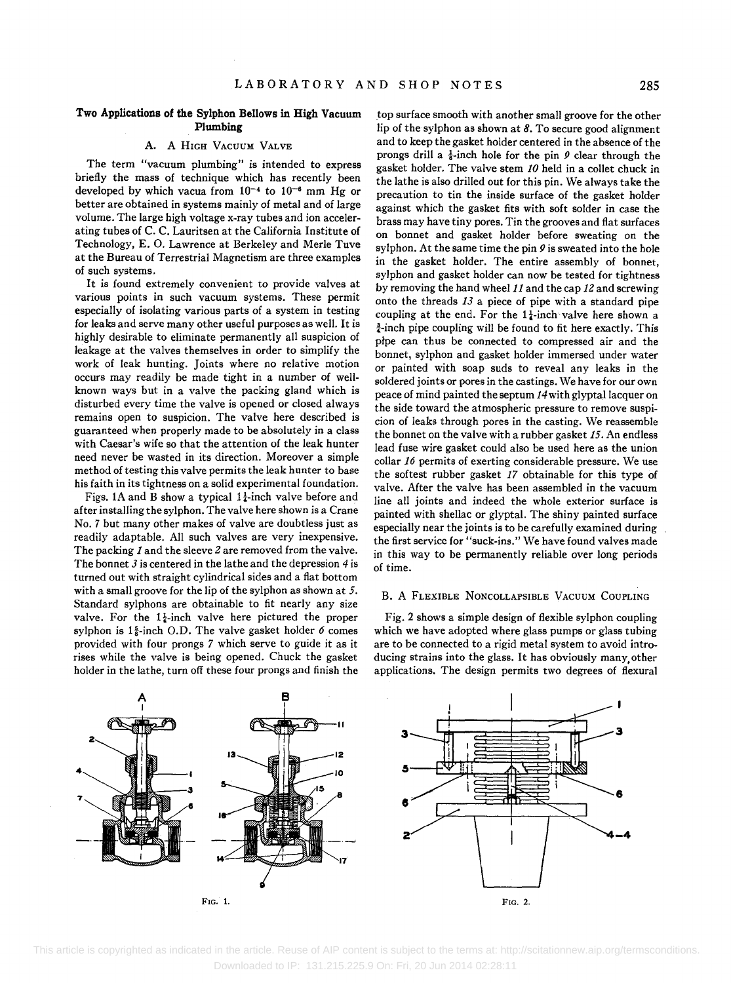# **Two Applications of the Sylphon Bellows in High Vacuum Plumbing**

# A. A HIGH VACUUM VALVE

**The** term "vacuum plumbing" is intended to express briefly the mass of technique which has recently been developed by which vacua from  $10^{-4}$  to  $10^{-6}$  mm Hg or better are obtained in systems mainly of metal and of large volume. The large high voltage x-ray tubes and ion accelerating tubes of C. C. Lauritsen at the California Institute of Technology, E. O. Lawrence at Berkeley and Merle Tuve at the Bureau of Terrestrial Magnetism are three examples of such systems.

It is found extremely convenient to provide valves at various points in such vacuum systems. These permit especially of isolating various parts of a system in testing for leaks and serve many other useful purposes as well. It is highly desirable to eliminate permanently all suspicion of leakage at the valves themselves in order to simplify the work of leak hunting. Joints where no relative motion occurs may readily be made tight in a number of wellknown ways but in a valve the packing gland which is disturbed every time the valve is opened or closed always remains open to suspicion. The valve here described is guaranteed when properly made to be absolutely in a class with Caesar's wife so that the attention of the leak hunter need never be wasted in its direction. Moreover a simple method of testing this valve permits the leak hunter to base his faith in its tightness on a solid experimental foundation.

Figs. 1A and B show a typical  $1\frac{1}{4}$ -inch valve before and after installing the sylphon. The valve here shown is a Crane No.7 but many other makes of valve are doubtless just as readily adaptable. All such valves are very inexpensive. The packing 1 and the sleeve 2 are removed from the valve. The bonnet  $3$  is centered in the lathe and the depression  $4$  is turned out with straight cylindrical sides and a flat bottom with a small groove for the lip of the sylphon as shown at 5. Standard sylphons are obtainable to fit nearly any size valve. For the  $1\frac{1}{2}$ -inch valve here pictured the proper sylphon is  $1\frac{5}{8}$ -inch O.D. The valve gasket holder 6 comes provided with four prongs 7 which serve to guide it as it rises while the valve is being opened. Chuck the gasket holder in the lathe, turn off these four prongs and finish the

top surface smooth with another smaIl groove for the other lip of the sylphon as shown at 8. To secure good alignment and to keep the gasket holder centered in the absence of the prongs drill a  $\frac{1}{8}$ -inch hole for the pin  $\theta$  clear through the gasket holder. The valve stem *10* held in a collet chuck in the lathe is also drilled out for this pin. We always take the precaution to tin the inside surface of the gasket holder against which the gasket fits with soft solder in case the brass may have tiny pores. Tin the grooves and flat surfaces on bonnet and gasket holder before sweating on the sylphon. At the same time the pin  $\ell$  is sweated into the hole in the gasket holder. The entire assembly of bonnet, sylphon and gasket holder can now be tested for tightness by removing the hand wheel 11 and the cap 12 and screwing onto the threads 13 a piece of pipe with a standard pipe coupling at the end. For the  $1\frac{1}{4}$ -inch valve here shown a  $\frac{3}{4}$ -inch pipe coupling will be found to fit here exactly. This pipe can thus be connected to compressed air and the bonnet, sylphon and gasket holder immersed under water or painted with soap suds to reveal any leaks in the soldered joints or pores in the castings. We have for our own peace of mind painted the septum 14with glyptal lacquer on the side toward the atmospheric pressure to remove suspicion of leaks through pores in the casting. We reassemble the bonnet on the valve with a rubber gasket 15. An endless lead fuse wire gasket could also be used here as the union collar 16 permits of exerting considerable pressure. We use the softest rubber gasket 17 obtainable for this type of valve. After the valve has been assembled in the vacuum line all joints and indeed the whole exterior surface is painted with shellac or glyptal. The shiny painted surface especially near the joints is to be carefully examined during the first service for "suck-ins." We have found valves made in this way to be permanently reliable over long periods of time.

### B. A FLEXIBLE NONCOLLAPSIBLE VACUUM COUPLING

Fig. 2 shows a simple design of flexible sylphon coupling which we have adopted where glass pumps or glass tubing are to be connected to a rigid metal system to avoid introducing strains into the glass. It has obviously many, other applications. The design permits two degrees of flexural



 This article is copyrighted as indicated in the article. Reuse of AIP content is subject to the terms at: http://scitationnew.aip.org/termsconditions. Downloaded to IP: 131.215.225.9 On: Fri, 20 Jun 2014 02:28:11